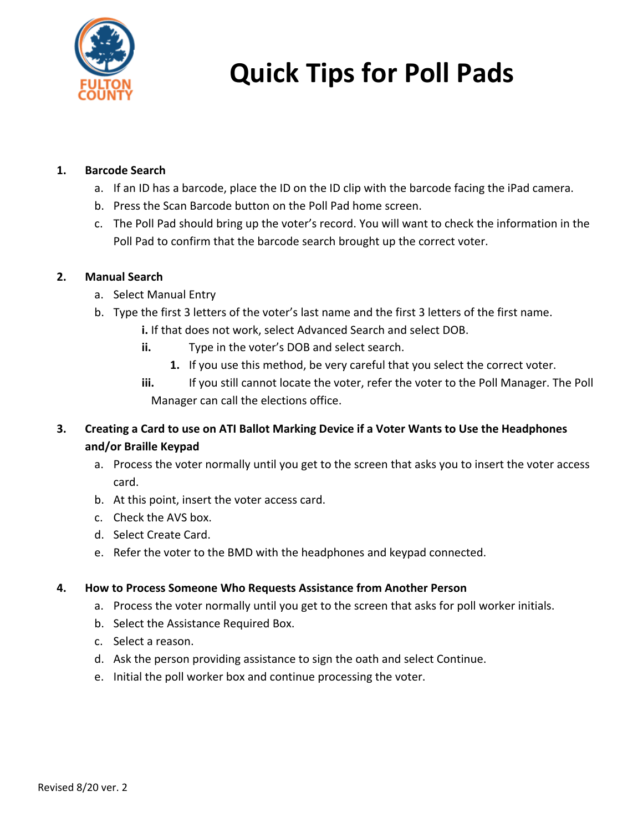

# **Quick Tips for Poll Pads**

## **1. Barcode Search**

- a. If an ID has a barcode, place the ID on the ID clip with the barcode facing the iPad camera.
- b. Press the Scan Barcode button on the Poll Pad home screen.
- c. The Poll Pad should bring up the voter's record. You will want to check the information in the Poll Pad to confirm that the barcode search brought up the correct voter.

## **2. Manual Search**

- a. Select Manual Entry
- b. Type the first 3 letters of the voter's last name and the first 3 letters of the first name.
	- **i.** If that does not work, select Advanced Search and select DOB.
	- **ii.** Type in the voter's DOB and select search.
		- **1.** If you use this method, be very careful that you select the correct voter.
	- **iii.** If you still cannot locate the voter, refer the voter to the Poll Manager. The Poll Manager can call the elections office.
- **3. Creating a Card to use on ATI Ballot Marking Device if a Voter Wants to Use the Headphones and/or Braille Keypad**
	- a. Process the voter normally until you get to the screen that asks you to insert the voter access card.
	- b. At this point, insert the voter access card.
	- c. Check the AVS box.
	- d. Select Create Card.
	- e. Refer the voter to the BMD with the headphones and keypad connected.

## **4. How to Process Someone Who Requests Assistance from Another Person**

- a. Process the voter normally until you get to the screen that asks for poll worker initials.
- b. Select the Assistance Required Box.
- c. Select a reason.
- d. Ask the person providing assistance to sign the oath and select Continue.
- e. Initial the poll worker box and continue processing the voter.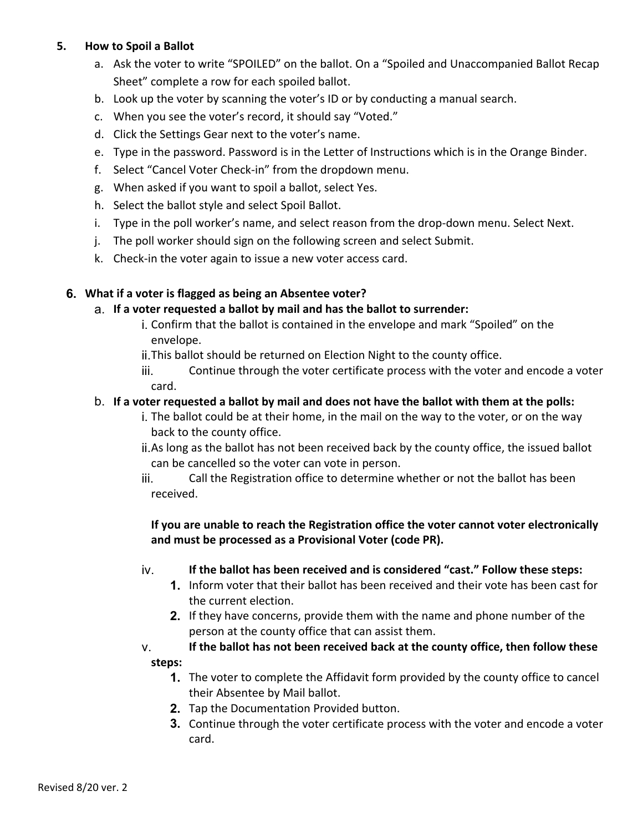## **5. How to Spoil a Ballot**

- a. Ask the voter to write "SPOILED" on the ballot. On a "Spoiled and Unaccompanied Ballot Recap Sheet" complete a row for each spoiled ballot.
- b. Look up the voter by scanning the voter's ID or by conducting a manual search.
- c. When you see the voter's record, it should say "Voted."
- d. Click the Settings Gear next to the voter's name.
- e. Type in the password. Password is in the Letter of Instructions which is in the Orange Binder.
- f. Select "Cancel Voter Check-in" from the dropdown menu.
- g. When asked if you want to spoil a ballot, select Yes.
- h. Select the ballot style and select Spoil Ballot.
- i. Type in the poll worker's name, and select reason from the drop-down menu. Select Next.
- j. The poll worker should sign on the following screen and select Submit.
- k. Check-in the voter again to issue a new voter access card.

### **6. What if a voter is flagged as being an Absentee voter?**

#### a. **If a voter requested a ballot by mail and has the ballot to surrender:**

- i. Confirm that the ballot is contained in the envelope and mark "Spoiled" on the envelope.
- ii.This ballot should be returned on Election Night to the county office.
- iii. Continue through the voter certificate process with the voter and encode a voter card.

#### b. **If a voter requested a ballot by mail and does not have the ballot with them at the polls:**

- i. The ballot could be at their home, in the mail on the way to the voter, or on the way back to the county office.
- ii.As long as the ballot has not been received back by the county office, the issued ballot can be cancelled so the voter can vote in person.
- iii. Call the Registration office to determine whether or not the ballot has been received.

## **If you are unable to reach the Registration office the voter cannot voter electronically and must be processed as a Provisional Voter (code PR).**

#### iv. **If the ballot has been received and is considered "cast." Follow these steps:**

- **1.** Inform voter that their ballot has been received and their vote has been cast for the current election.
- **2.** If they have concerns, provide them with the name and phone number of the person at the county office that can assist them.
- v. **If the ballot has not been received back at the county office, then follow these steps:**
	- **1.** The voter to complete the Affidavit form provided by the county office to cancel their Absentee by Mail ballot.
	- **2.** Tap the Documentation Provided button.
	- **3.** Continue through the voter certificate process with the voter and encode a voter card.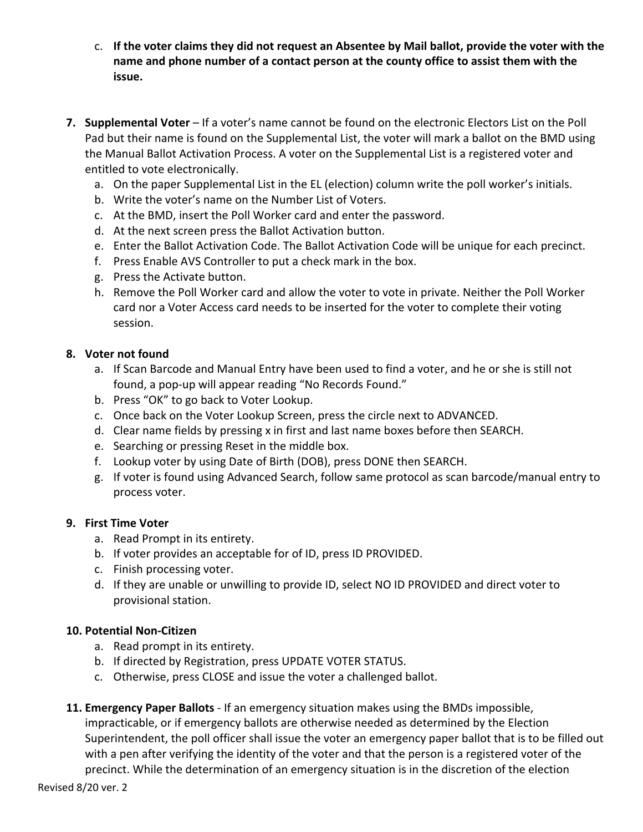- c. **If the voter claims they did not request an Absentee by Mail ballot, provide the voter with the name and phone number of a contact person at the county office to assist them with the issue.**
- **7. Supplemental Voter** If a voter's name cannot be found on the electronic Electors List on the Poll Pad but their name is found on the Supplemental List, the voter will mark a ballot on the BMD using the Manual Ballot Activation Process. A voter on the Supplemental List is a registered voter and entitled to vote electronically.
	- a. On the paper Supplemental List in the EL (election) column write the poll worker's initials.
	- b. Write the voter's name on the Number List of Voters.
	- c. At the BMD, insert the Poll Worker card and enter the password.
	- d. At the next screen press the Ballot Activation button.
	- e. Enter the Ballot Activation Code. The Ballot Activation Code will be unique for each precinct.
	- f. Press Enable AVS Controller to put a check mark in the box.
	- g. Press the Activate button.
	- h. Remove the Poll Worker card and allow the voter to vote in private. Neither the Poll Worker card nor a Voter Access card needs to be inserted for the voter to complete their voting session.

#### **8. Voter not found**

- a. If Scan Barcode and Manual Entry have been used to find a voter, and he or she is still not found, a pop-up will appear reading "No Records Found."
- b. Press "OK" to go back to Voter Lookup.
- c. Once back on the Voter Lookup Screen, press the circle next to ADVANCED.
- d. Clear name fields by pressing x in first and last name boxes before then SEARCH.
- e. Searching or pressing Reset in the middle box.
- f. Lookup voter by using Date of Birth (DOB), press DONE then SEARCH.
- g. If voter is found using Advanced Search, follow same protocol as scan barcode/manual entry to process voter.

#### **9. First Time Voter**

- a. Read Prompt in its entirety.
- b. If voter provides an acceptable for of ID, press ID PROVIDED.
- c. Finish processing voter.
- d. If they are unable or unwilling to provide ID, select NO ID PROVIDED and direct voter to provisional station.

#### **10. Potential Non-Citizen**

- a. Read prompt in its entirety.
- b. If directed by Registration, press UPDATE VOTER STATUS.
- c. Otherwise, press CLOSE and issue the voter a challenged ballot.
- **11. Emergency Paper Ballots**  If an emergency situation makes using the BMDs impossible, impracticable, or if emergency ballots are otherwise needed as determined by the Election Superintendent, the poll officer shall issue the voter an emergency paper ballot that is to be filled out with a pen after verifying the identity of the voter and that the person is a registered voter of the precinct. While the determination of an emergency situation is in the discretion of the election